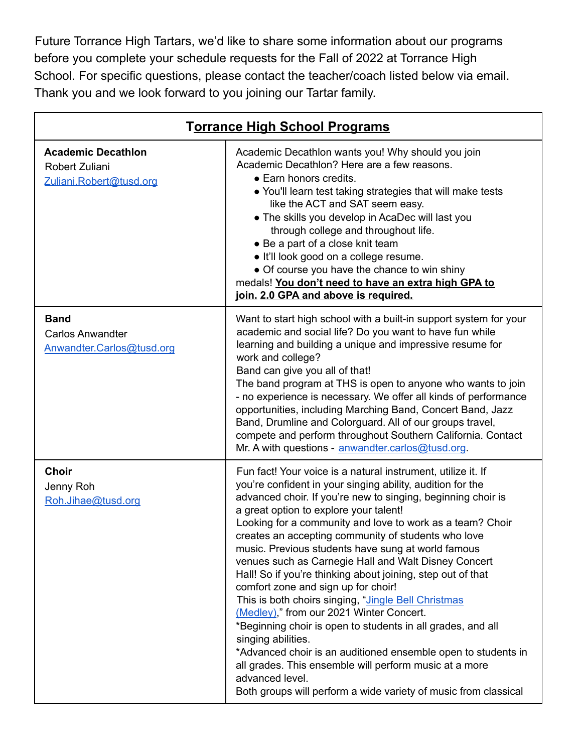Future Torrance High Tartars, we'd like to share some information about our programs before you complete your schedule requests for the Fall of 2022 at Torrance High School. For specific questions, please contact the teacher/coach listed below via email. Thank you and we look forward to you joining our Tartar family.

| Torrance High School Programs                                          |                                                                                                                                                                                                                                                                                                                                                                                                                                                                                                                                                                                                                                                                                                                                                                                                                                                                                                                                                                                       |
|------------------------------------------------------------------------|---------------------------------------------------------------------------------------------------------------------------------------------------------------------------------------------------------------------------------------------------------------------------------------------------------------------------------------------------------------------------------------------------------------------------------------------------------------------------------------------------------------------------------------------------------------------------------------------------------------------------------------------------------------------------------------------------------------------------------------------------------------------------------------------------------------------------------------------------------------------------------------------------------------------------------------------------------------------------------------|
| <b>Academic Decathlon</b><br>Robert Zuliani<br>Zuliani.Robert@tusd.org | Academic Decathlon wants you! Why should you join<br>Academic Decathlon? Here are a few reasons.<br>• Earn honors credits.<br>• You'll learn test taking strategies that will make tests<br>like the ACT and SAT seem easy.<br>• The skills you develop in AcaDec will last you<br>through college and throughout life.<br>• Be a part of a close knit team<br>· It'll look good on a college resume.<br>• Of course you have the chance to win shiny<br>medals! You don't need to have an extra high GPA to<br>join. 2.0 GPA and above is required.                                                                                                                                                                                                                                                                                                                                                                                                                                  |
| <b>Band</b><br><b>Carlos Anwandter</b><br>Anwandter.Carlos@tusd.org    | Want to start high school with a built-in support system for your<br>academic and social life? Do you want to have fun while<br>learning and building a unique and impressive resume for<br>work and college?<br>Band can give you all of that!<br>The band program at THS is open to anyone who wants to join<br>- no experience is necessary. We offer all kinds of performance<br>opportunities, including Marching Band, Concert Band, Jazz<br>Band, Drumline and Colorguard. All of our groups travel,<br>compete and perform throughout Southern California. Contact<br>Mr. A with questions - anwandter.carlos@tusd.org.                                                                                                                                                                                                                                                                                                                                                       |
| <b>Choir</b><br>Jenny Roh<br>Roh.Jihae@tusd.org                        | Fun fact! Your voice is a natural instrument, utilize it. If<br>you're confident in your singing ability, audition for the<br>advanced choir. If you're new to singing, beginning choir is<br>a great option to explore your talent!<br>Looking for a community and love to work as a team? Choir<br>creates an accepting community of students who love<br>music. Previous students have sung at world famous<br>venues such as Carnegie Hall and Walt Disney Concert<br>Hall! So if you're thinking about joining, step out of that<br>comfort zone and sign up for choir!<br>This is both choirs singing, "Jingle Bell Christmas<br>(Medley)," from our 2021 Winter Concert.<br>*Beginning choir is open to students in all grades, and all<br>singing abilities.<br>*Advanced choir is an auditioned ensemble open to students in<br>all grades. This ensemble will perform music at a more<br>advanced level.<br>Both groups will perform a wide variety of music from classical |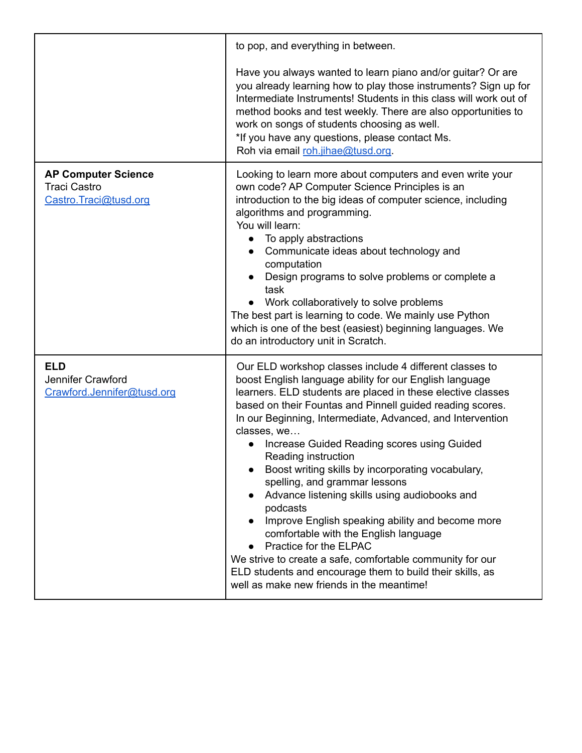|                                                                            | to pop, and everything in between.                                                                                                                                                                                                                                                                                                                                                                                                                                                                                                                                                                                                                                                                                                                                                                                                                 |
|----------------------------------------------------------------------------|----------------------------------------------------------------------------------------------------------------------------------------------------------------------------------------------------------------------------------------------------------------------------------------------------------------------------------------------------------------------------------------------------------------------------------------------------------------------------------------------------------------------------------------------------------------------------------------------------------------------------------------------------------------------------------------------------------------------------------------------------------------------------------------------------------------------------------------------------|
|                                                                            | Have you always wanted to learn piano and/or guitar? Or are<br>you already learning how to play those instruments? Sign up for<br>Intermediate Instruments! Students in this class will work out of<br>method books and test weekly. There are also opportunities to<br>work on songs of students choosing as well.<br>*If you have any questions, please contact Ms.<br>Roh via email roh.jihae@tusd.org.                                                                                                                                                                                                                                                                                                                                                                                                                                         |
| <b>AP Computer Science</b><br><b>Traci Castro</b><br>Castro.Traci@tusd.org | Looking to learn more about computers and even write your<br>own code? AP Computer Science Principles is an<br>introduction to the big ideas of computer science, including<br>algorithms and programming.<br>You will learn:<br>To apply abstractions<br>Communicate ideas about technology and<br>computation<br>Design programs to solve problems or complete a<br>task<br>Work collaboratively to solve problems<br>The best part is learning to code. We mainly use Python<br>which is one of the best (easiest) beginning languages. We<br>do an introductory unit in Scratch.                                                                                                                                                                                                                                                               |
| <b>ELD</b><br>Jennifer Crawford<br>Crawford.Jennifer@tusd.org              | Our ELD workshop classes include 4 different classes to<br>boost English language ability for our English language<br>learners. ELD students are placed in these elective classes<br>based on their Fountas and Pinnell guided reading scores.<br>In our Beginning, Intermediate, Advanced, and Intervention<br>classes, we<br>Increase Guided Reading scores using Guided<br>Reading instruction<br>Boost writing skills by incorporating vocabulary,<br>spelling, and grammar lessons<br>Advance listening skills using audiobooks and<br>podcasts<br>Improve English speaking ability and become more<br>comfortable with the English language<br>Practice for the ELPAC<br>We strive to create a safe, comfortable community for our<br>ELD students and encourage them to build their skills, as<br>well as make new friends in the meantime! |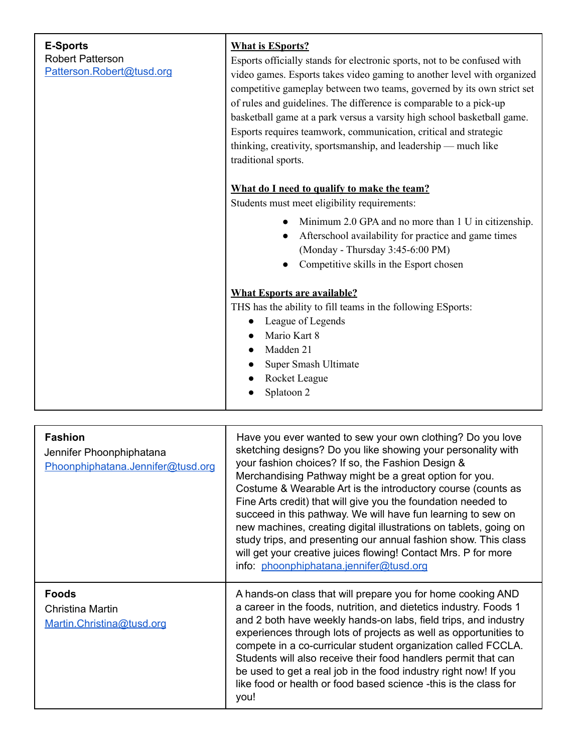| <b>E-Sports</b><br><b>Robert Patterson</b><br>Patterson.Robert@tusd.org | <b>What is ESports?</b><br>Esports officially stands for electronic sports, not to be confused with<br>video games. Esports takes video gaming to another level with organized<br>competitive gameplay between two teams, governed by its own strict set<br>of rules and guidelines. The difference is comparable to a pick-up<br>basketball game at a park versus a varsity high school basketball game.<br>Esports requires teamwork, communication, critical and strategic<br>thinking, creativity, sportsmanship, and leadership — much like<br>traditional sports. |
|-------------------------------------------------------------------------|-------------------------------------------------------------------------------------------------------------------------------------------------------------------------------------------------------------------------------------------------------------------------------------------------------------------------------------------------------------------------------------------------------------------------------------------------------------------------------------------------------------------------------------------------------------------------|
|                                                                         | What do I need to qualify to make the team?<br>Students must meet eligibility requirements:<br>Minimum 2.0 GPA and no more than 1 U in citizenship.<br>Afterschool availability for practice and game times<br>(Monday - Thursday 3:45-6:00 PM)<br>Competitive skills in the Esport chosen                                                                                                                                                                                                                                                                              |
|                                                                         | <b>What Esports are available?</b><br>THS has the ability to fill teams in the following ESports:<br>League of Legends<br>Mario Kart 8<br>Madden 21<br>Super Smash Ultimate<br>Rocket League<br>Splatoon 2                                                                                                                                                                                                                                                                                                                                                              |

| <b>Fashion</b><br>Jennifer Phoonphiphatana<br>Phoonphiphatana.Jennifer@tusd.org | Have you ever wanted to sew your own clothing? Do you love<br>sketching designs? Do you like showing your personality with<br>your fashion choices? If so, the Fashion Design &<br>Merchandising Pathway might be a great option for you.<br>Costume & Wearable Art is the introductory course (counts as<br>Fine Arts credit) that will give you the foundation needed to<br>succeed in this pathway. We will have fun learning to sew on<br>new machines, creating digital illustrations on tablets, going on<br>study trips, and presenting our annual fashion show. This class<br>will get your creative juices flowing! Contact Mrs. P for more<br>info: phoonphiphatana.jennifer@tusd.org |
|---------------------------------------------------------------------------------|-------------------------------------------------------------------------------------------------------------------------------------------------------------------------------------------------------------------------------------------------------------------------------------------------------------------------------------------------------------------------------------------------------------------------------------------------------------------------------------------------------------------------------------------------------------------------------------------------------------------------------------------------------------------------------------------------|
| <b>Foods</b><br>Christina Martin<br>Martin.Christina@tusd.org                   | A hands-on class that will prepare you for home cooking AND<br>a career in the foods, nutrition, and dietetics industry. Foods 1<br>and 2 both have weekly hands-on labs, field trips, and industry<br>experiences through lots of projects as well as opportunities to<br>compete in a co-curricular student organization called FCCLA.<br>Students will also receive their food handlers permit that can<br>be used to get a real job in the food industry right now! If you<br>like food or health or food based science -this is the class for<br>you!                                                                                                                                      |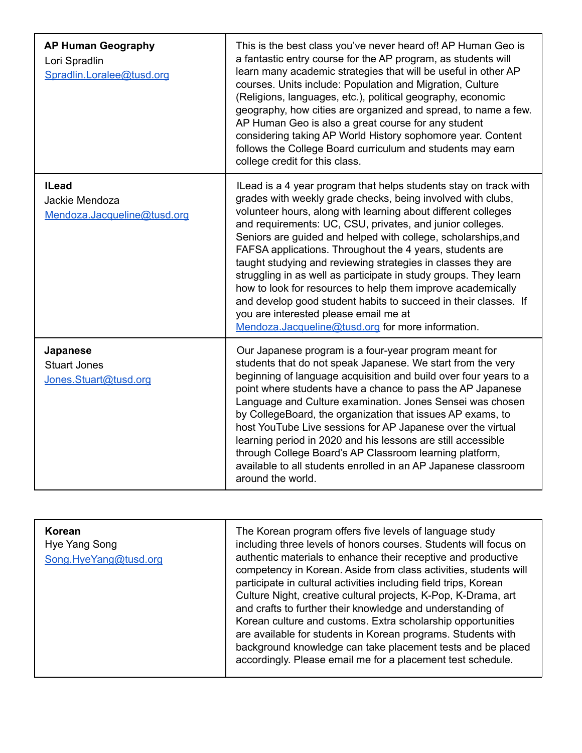| <b>AP Human Geography</b><br>Lori Spradlin<br>Spradlin.Loralee@tusd.org | This is the best class you've never heard of! AP Human Geo is<br>a fantastic entry course for the AP program, as students will<br>learn many academic strategies that will be useful in other AP<br>courses. Units include: Population and Migration, Culture<br>(Religions, languages, etc.), political geography, economic<br>geography, how cities are organized and spread, to name a few.<br>AP Human Geo is also a great course for any student<br>considering taking AP World History sophomore year. Content<br>follows the College Board curriculum and students may earn<br>college credit for this class.                                                                                                                                           |
|-------------------------------------------------------------------------|----------------------------------------------------------------------------------------------------------------------------------------------------------------------------------------------------------------------------------------------------------------------------------------------------------------------------------------------------------------------------------------------------------------------------------------------------------------------------------------------------------------------------------------------------------------------------------------------------------------------------------------------------------------------------------------------------------------------------------------------------------------|
| <b>ILead</b><br>Jackie Mendoza<br>Mendoza.Jacqueline@tusd.org           | ILead is a 4 year program that helps students stay on track with<br>grades with weekly grade checks, being involved with clubs,<br>volunteer hours, along with learning about different colleges<br>and requirements: UC, CSU, privates, and junior colleges.<br>Seniors are guided and helped with college, scholarships, and<br>FAFSA applications. Throughout the 4 years, students are<br>taught studying and reviewing strategies in classes they are<br>struggling in as well as participate in study groups. They learn<br>how to look for resources to help them improve academically<br>and develop good student habits to succeed in their classes. If<br>you are interested please email me at<br>Mendoza.Jacqueline@tusd.org for more information. |
| Japanese<br><b>Stuart Jones</b><br>Jones.Stuart@tusd.org                | Our Japanese program is a four-year program meant for<br>students that do not speak Japanese. We start from the very<br>beginning of language acquisition and build over four years to a<br>point where students have a chance to pass the AP Japanese<br>Language and Culture examination. Jones Sensei was chosen<br>by CollegeBoard, the organization that issues AP exams, to<br>host YouTube Live sessions for AP Japanese over the virtual<br>learning period in 2020 and his lessons are still accessible<br>through College Board's AP Classroom learning platform,<br>available to all students enrolled in an AP Japanese classroom<br>around the world.                                                                                             |

| Korean<br>Hye Yang Song<br>Song.HyeYang@tusd.org | The Korean program offers five levels of language study<br>including three levels of honors courses. Students will focus on<br>authentic materials to enhance their receptive and productive<br>competency in Korean. Aside from class activities, students will<br>participate in cultural activities including field trips, Korean<br>Culture Night, creative cultural projects, K-Pop, K-Drama, art<br>and crafts to further their knowledge and understanding of<br>Korean culture and customs. Extra scholarship opportunities<br>are available for students in Korean programs. Students with<br>background knowledge can take placement tests and be placed |
|--------------------------------------------------|--------------------------------------------------------------------------------------------------------------------------------------------------------------------------------------------------------------------------------------------------------------------------------------------------------------------------------------------------------------------------------------------------------------------------------------------------------------------------------------------------------------------------------------------------------------------------------------------------------------------------------------------------------------------|
|                                                  | accordingly. Please email me for a placement test schedule.                                                                                                                                                                                                                                                                                                                                                                                                                                                                                                                                                                                                        |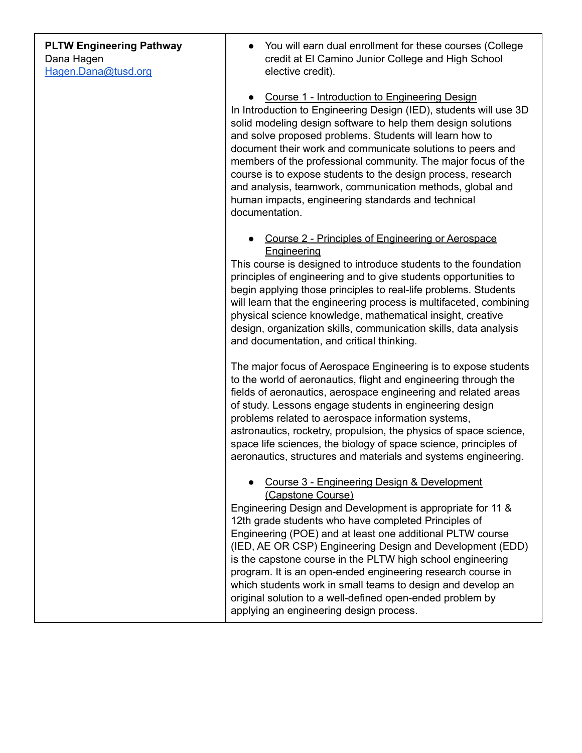| <b>PLTW Engineering Pathway</b> |
|---------------------------------|
| Dana Hagen                      |
| Hagen.Dana@tusd.org             |

You will earn dual enrollment for these courses (College credit at El Camino Junior College and High School elective credit).

● Course 1 - Introduction to Engineering Design In Introduction to Engineering Design (IED), students will use 3D solid modeling design software to help them design solutions and solve proposed problems. Students will learn how to document their work and communicate solutions to peers and members of the professional community. The major focus of the course is to expose students to the design process, research and analysis, teamwork, communication methods, global and human impacts, engineering standards and technical documentation.

● Course 2 - Principles of Engineering or Aerospace Engineering

This course is designed to introduce students to the foundation principles of engineering and to give students opportunities to begin applying those principles to real-life problems. Students will learn that the engineering process is multifaceted, combining physical science knowledge, mathematical insight, creative design, organization skills, communication skills, data analysis and documentation, and critical thinking.

The major focus of Aerospace Engineering is to expose students to the world of aeronautics, flight and engineering through the fields of aeronautics, aerospace engineering and related areas of study. Lessons engage students in engineering design problems related to aerospace information systems, astronautics, rocketry, propulsion, the physics of space science, space life sciences, the biology of space science, principles of aeronautics, structures and materials and systems engineering.

● Course 3 - Engineering Design & Development (Capstone Course)

Engineering Design and Development is appropriate for 11 & 12th grade students who have completed Principles of Engineering (POE) and at least one additional PLTW course (IED, AE OR CSP) Engineering Design and Development (EDD) is the capstone course in the PLTW high school engineering program. It is an open-ended engineering research course in which students work in small teams to design and develop an original solution to a well-defined open-ended problem by applying an engineering design process.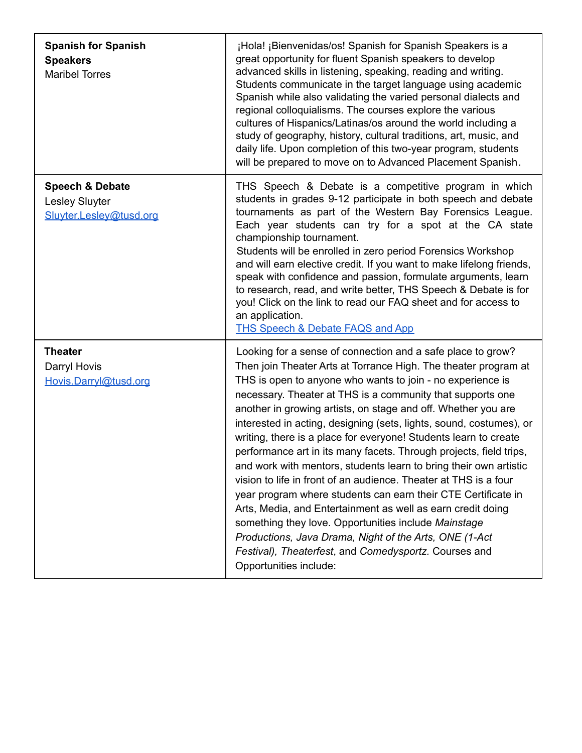| <b>Spanish for Spanish</b><br><b>Speakers</b><br><b>Maribel Torres</b>  | ¡Hola! ¡Bienvenidas/os! Spanish for Spanish Speakers is a<br>great opportunity for fluent Spanish speakers to develop<br>advanced skills in listening, speaking, reading and writing.<br>Students communicate in the target language using academic<br>Spanish while also validating the varied personal dialects and<br>regional colloquialisms. The courses explore the various<br>cultures of Hispanics/Latinas/os around the world including a<br>study of geography, history, cultural traditions, art, music, and<br>daily life. Upon completion of this two-year program, students<br>will be prepared to move on to Advanced Placement Spanish.                                                                                                                                                                                                                                                                                                                                                                     |
|-------------------------------------------------------------------------|-----------------------------------------------------------------------------------------------------------------------------------------------------------------------------------------------------------------------------------------------------------------------------------------------------------------------------------------------------------------------------------------------------------------------------------------------------------------------------------------------------------------------------------------------------------------------------------------------------------------------------------------------------------------------------------------------------------------------------------------------------------------------------------------------------------------------------------------------------------------------------------------------------------------------------------------------------------------------------------------------------------------------------|
| <b>Speech &amp; Debate</b><br>Lesley Sluyter<br>Sluyter.Lesley@tusd.org | THS Speech & Debate is a competitive program in which<br>students in grades 9-12 participate in both speech and debate<br>tournaments as part of the Western Bay Forensics League.<br>Each year students can try for a spot at the CA state<br>championship tournament.<br>Students will be enrolled in zero period Forensics Workshop<br>and will earn elective credit. If you want to make lifelong friends,<br>speak with confidence and passion, formulate arguments, learn<br>to research, read, and write better, THS Speech & Debate is for<br>you! Click on the link to read our FAQ sheet and for access to<br>an application.<br><b>THS Speech &amp; Debate FAQS and App</b>                                                                                                                                                                                                                                                                                                                                      |
| <b>Theater</b><br>Darryl Hovis<br>Hovis.Darryl@tusd.org                 | Looking for a sense of connection and a safe place to grow?<br>Then join Theater Arts at Torrance High. The theater program at<br>THS is open to anyone who wants to join - no experience is<br>necessary. Theater at THS is a community that supports one<br>another in growing artists, on stage and off. Whether you are<br>interested in acting, designing (sets, lights, sound, costumes), or<br>writing, there is a place for everyone! Students learn to create<br>performance art in its many facets. Through projects, field trips,<br>and work with mentors, students learn to bring their own artistic<br>vision to life in front of an audience. Theater at THS is a four<br>year program where students can earn their CTE Certificate in<br>Arts, Media, and Entertainment as well as earn credit doing<br>something they love. Opportunities include Mainstage<br>Productions, Java Drama, Night of the Arts, ONE (1-Act)<br>Festival), Theaterfest, and Comedysportz. Courses and<br>Opportunities include: |